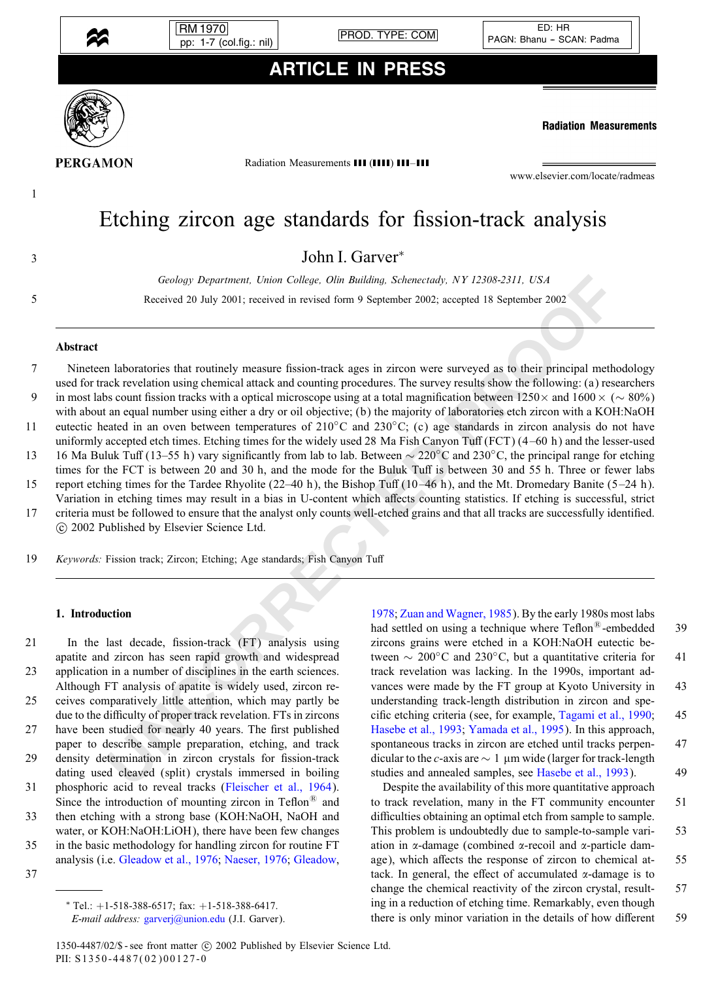

RM 1970

pp: 1-7 (col.fig.: nil) PROD. TYPE: COM

## ARTICLE IN PRESS



**Radiation Measurements** 

**PERGAMON** 

1

Radiation Measurements III (IIII) III-III

www.elsevier.com/locate/radmeas

# Etching zircon age standards for fission-track analysis

John I. Garver<sup>∗</sup> <sup>3</sup>

*Geology Department, Union College, Olin Building, Schenectady, NY 12308-2311, USA*

5 Received 20 July2001; received in revised form 9 September 2002; accepted 18 September 2002

### Abstract

Grobay Department, Union College, Olin Buliding, Schenectady, NY 12308-2311, USA<br>
Received 20 July 2001; received in evised form 9 September 2002; accepted 18 September 2002<br>
Received 20 July 2001; received in evised form 7 Nineteen laboratories that routinely measure fission-track ages in zircon were surveyed as to their principal methodology used for track revelation using chemical attack and counting procedures. The surveyresults show the following: (a) researchers 9 in most labs count fission tracks with a optical microscope using at a total magnification between 1250× and 1600 × ( $\sim$  80%) with about an equal number using either a dry or oil objective; (b) the majority of laboratories etch zircon with a KOH:NaOH 11 eutectic heated in an oven between temperatures of  $210\degree C$  and  $230\degree C$ ; (c) age standards in zircon analysis do not have uniformly accepted etch times. Etching times for the widely used 28 Ma Fish Canyon Tuff  $(FCT) (4–60 h)$  and the lesser-used 13 16 Ma Buluk Tuff (13–55 h) vary significantly from lab to lab. Between ~ 220°C and 230°C, the principal range for etching

times for the FCT is between 20 and 30 h, and the mode for the Buluk Tuff is between 30 and 55 h. Three or fewer labs 15 report etching times for the Tardee Rhyolite (22–40 h), the Bishop Tuff (10–46 h), and the Mt. Dromedary Banite (5–24 h).

Variation in etching times may result in a bias in U-content which affects counting statistics. If etching is successful, strict 17 criteria must be followed to ensure that the analyst onlycounts well-etched grains and that all tracks are successfullyidentied. c 2002 Published byElsevier Science Ltd.

19 *Keywords:* Fission track; Zircon; Etching; Age standards; Fish Canyon Tuff

### 1. Introduction

21 In the last decade, fission-track (FT) analysis using apatite and zircon has seen rapid growth and widespread 23 application in a number of disciplines in the earth sciences. Although FT analysis of apatite is widely used, zircon re-25 ceives comparatively little attention, which may partly be due to the difficulty of proper track revelation. FTs in zircons 27 have been studied for nearly 40 years. The first published paper to describe sample preparation, etching, and track 29 density determination in zircon crystals for fission-track dating used cleaved (split) crystals immersed in boiling 31 phosphoric acid to reveal tracks [\(Fleischer et al., 1964\)](#page-6-0). Since the introduction of mounting zircon in Teflon<sup>®</sup> and 33 then etching with a strong base (KOH:NaOH, NaOH and water, or KOH:NaOH:LiOH), there have been few changes 35 in the basic methodology for handling zircon for routine FT analysis (i.e. [Gleadow et al., 1976;](#page-6-0) [Naeser, 1976;](#page-6-0) [Gleadow,](#page-6-0)

37

∗ Tel.: +1-518-388-6517; fax: +1-518-388-6417.

*E-mail address:* [garverj@union.edu](mailto:garverj@union.edu) (J.I. Garver).

1978; Zuan and Wagner, 1985). By the early 1980s most labs had settled on using a technique where  $Teflon^{\circledR}$ -embedded 39 zircons grains were etched in a KOH:NaOH eutectic between  $\sim 200^{\circ}$ C and 230<sup>°</sup>C, but a quantitative criteria for 41 track revelation was lacking. In the 1990s, important advances were made by the FT group at Kyoto University in 43 understanding track-length distribution in zircon and spe-cific etching criteria (see, for example, [Tagami et al., 1990;](#page-6-0) 45 Hasebe et al., 1993; Yamada et al., 1995). In this approach, spontaneous tracks in zircon are etched until tracks perpen- 47 dicular to the *c*-axis are  $\sim 1 \mu m$  wide (larger for track-length studies and annealed samples, see [Hasebe et al., 1993\)](#page-6-0). 49

Despite the availability of this more quantitative approach to track revelation, many in the FT community encounter 51 difficulties obtaining an optimal etch from sample to sample. This problem is undoubtedly due to sample-to-sample vari- 53 ation in  $\alpha$ -damage (combined  $\alpha$ -recoil and  $\alpha$ -particle damage), which affects the response of zircon to chemical at- 55 tack. In general, the effect of accumulated  $\alpha$ -damage is to change the chemical reactivity of the zircon crystal, result- 57 ing in a reduction of etching time. Remarkably, even though there is only minor variation in the details of how different 59

1350-4487/02/\$ - see front matter  $\odot$  2002 Published by Elsevier Science Ltd. PII: S1350-4487(02)00127-0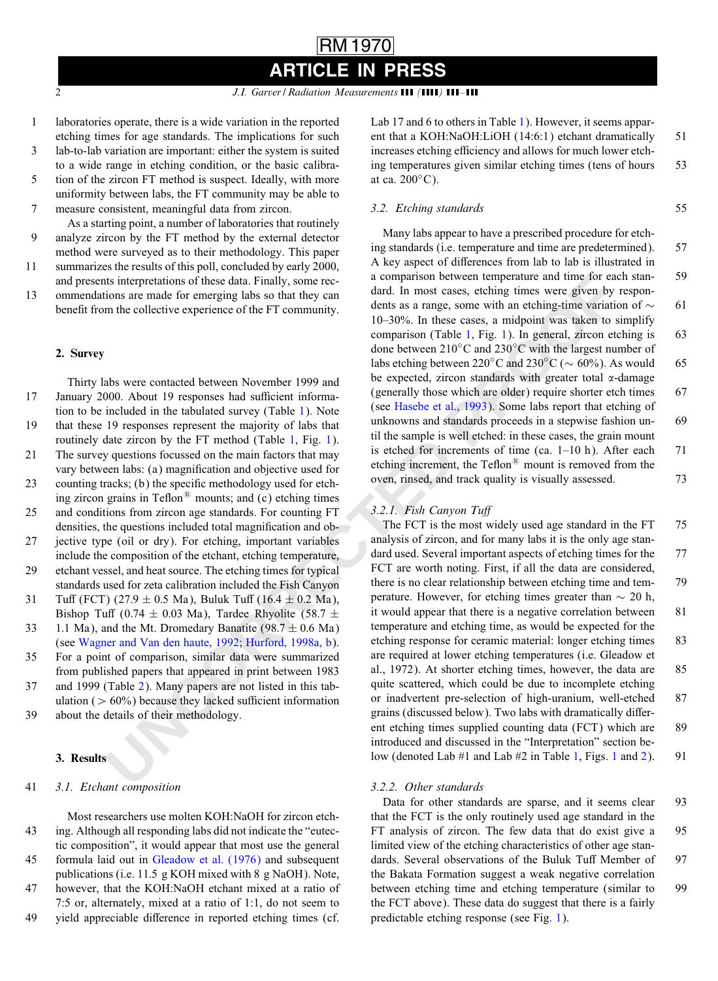1 laboratories operate, there is a wide variation in the reported etching times for age standards. The implications for such

3 lab-to-lab variation are important: either the system is suited to a wide range in etching condition, or the basic calibra-

5 tion of the zircon FT method is suspect. Ideally, with more uniformity between labs, the FT community may be able to 7 measure consistent, meaningful data from zircon.

As a starting point, a number of laboratories that routinely 9 analyze zircon by the FT method by the external detector method were surveyed as to their methodology. This paper

11 summarizes the results of this poll, concluded byearly2000,

and presents interpretations of these data. Finally, some rec-13 ommendations are made for emerging labs so that theycan benefit from the collective experience of the FT community.

#### 2. Survey

is interpetations of these data, Firally, some recessors and properties and the present of the content of the collective experience of the FT community dents as a range, some with an ecting experience of the FT community Thirty labs were contacted between November 1999 and 17 January 2000. About 19 responses had sufficient information to be included in the tabulated survey(Table 1). Note 19 that these 19 responses represent the majorityof labs that routinely date zircon by the FT method (Table 1, Fig. 1). 21 The survey questions focussed on the main factors that may vary between labs: (a) magnification and objective used for 23 counting tracks; (b) the specific methodology used for etching zircon grains in Teflon $\mathbb{B}$  mounts; and (c) etching times 25 and conditions from zircon age standards. For counting FT densities, the questions included total magnification and ob-27 jective type (oil or dry). For etching, important variables include the composition of the etchant, etching temperature, 29 etchant vessel, and heat source. The etching times for typical standards used for zeta calibration included the Fish Canyon 31 Tuff (FCT)  $(27.9 \pm 0.5 \text{ Ma})$ , Buluk Tuff  $(16.4 \pm 0.2 \text{ Ma})$ , Bishop Tuff (0.74  $\pm$  0.03 Ma), Tardee Rhyolite (58.7  $\pm$ 33 1.1 Ma), and the Mt. Dromedary Banatite (98.7  $\pm$  0.6 Ma)

(see [Wagner and Van den haute, 1992;](#page-6-0) Hurford, 1998a, b). 35 For a point of comparison, similar data were summarized

- from published papers that appeared in print between 1983 37 and 1999 (Table 2). Manypapers are not listed in this tab-
- ulation ( $> 60\%$ ) because they lacked sufficient information 39 about the details of their methodology.

### 3. Results

#### 41 *3.1. Etchant composition*

Most researchers use molten KOH:NaOH for zircon etch-43 ing. Although all responding labs did not indicate the "eutectic composition", it would appear that most use the general 45 formula laid out in [Gleadow et al. \(1976\)](#page-6-0) and subsequent publications (i.e. 11:5 g KOH mixed with 8 g NaOH). Note, 47 however, that the KOH:NaOH etchant mixed at a ratio of 7:5 or, alternately, mixed at a ratio of 1:1, do not seem to 49 yield appreciable difference in reported etching times (cf.

Lab 17 and 6 to others in Table [1\)](#page-2-0). However, it seems apparent that a KOH:NaOH:LiOH (14:6:1) etchant dramatically 51 increases etching efficiency and allows for much lower etching temperatures given similar etching times (tens of hours 53 at ca.  $200^{\circ}$ C).

## *3.2. Etching standards* 55

Manylabs appear to have a prescribed procedure for etching standards (i.e. temperature and time are predetermined). 57 A key aspect of differences from lab to lab is illustrated in a comparison between temperature and time for each stan- 59 dard. In most cases, etching times were given by respondents as a range, some with an etching-time variation of  $\sim$  61 10–30%. In these cases, a midpoint was taken to simplify comparison (Table 1, Fig. 1). In general, zircon etching is 63 done between 210◦C and 230◦C with the largest number of labs etching between 220°C and 230°C ( $\sim$  60%). As would 65 be expected, zircon standards with greater total  $\alpha$ -damage (generally those which are older) require shorter etch times 67 (see Hasebe et al., 1993). Some labs report that etching of unknowns and standards proceeds in a stepwise fashion un- 69 til the sample is well etched: in these cases, the grain mount is etched for increments of time (ca.  $1-10$  h). After each 71 etching increment, the Teflon $\mathbb{B}$  mount is removed from the oven, rinsed, and track quality is visually assessed.  $73$ 

### 3.2.1. Fish Canyon Tuff

The FCT is the most widely used age standard in the FT 75 analysis of zircon, and for manylabs it is the onlyage standard used. Several important aspects of etching times for the 77 FCT are worth noting. First, if all the data are considered, there is no clear relationship between etching time and tem- 79 perature. However, for etching times greater than  $\sim 20$  h, it would appear that there is a negative correlation between 81 temperature and etching time, as would be expected for the etching response for ceramic material: longer etching times 83 are required at lower etching temperatures (i.e. Gleadow et al., 1972). At shorter etching times, however, the data are 85 quite scattered, which could be due to incomplete etching or inadvertent pre-selection of high-uranium, well-etched 87 grains (discussed below). Two labs with dramatically different etching times supplied counting data (FCT) which are 89 introduced and discussed in the "Interpretation" section below (denoted Lab  $#1$  and Lab  $#2$  in Table 1, Figs. 1 and [2\)](#page-4-0). 91

#### *3.2.2. Other standards*

Data for other standards are sparse, and it seems clear 93 that the FCT is the only routinely used age standard in the FT analysis of zircon. The few data that do exist give a 95 limited view of the etching characteristics of other age standards. Several observations of the Buluk Tuff Member of 97 the Bakata Formation suggest a weak negative correlation between etching time and etching temperature (similar to 99 the FCT above). These data do suggest that there is a fairly predictable etching response (see Fig. [1\)](#page-3-0).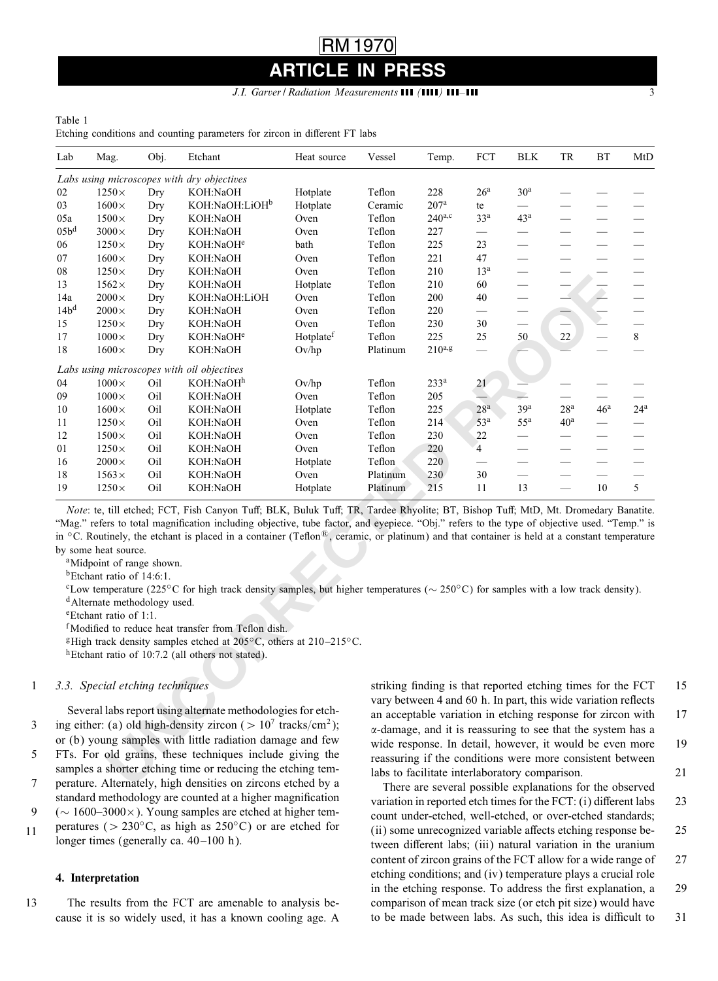## RM 1970 **PRESS**

#### *J.I. Garver* / Radiation Measurements **111 (1111) 111-111**

#### <span id="page-2-0"></span>Table 1

Etching conditions and counting parameters for zircon in different FT labs

| Lab                                                                                                                                                                                                                                                                                                                                                                   | Mag.                                                                                                                                                                                     | Obj. | Etchant                                                                                                                                                                                                                                                                                                                                                                                                                                                                                                                                                                                                                                                                                                                                                                                                                                                           | Heat source           | Vessel                                                                                                                                                                                                                                                                                                                                                                                                                                 | Temp.                                                       | FCT                      | <b>BLK</b>               | TR                            | ВT                       | MtD          |
|-----------------------------------------------------------------------------------------------------------------------------------------------------------------------------------------------------------------------------------------------------------------------------------------------------------------------------------------------------------------------|------------------------------------------------------------------------------------------------------------------------------------------------------------------------------------------|------|-------------------------------------------------------------------------------------------------------------------------------------------------------------------------------------------------------------------------------------------------------------------------------------------------------------------------------------------------------------------------------------------------------------------------------------------------------------------------------------------------------------------------------------------------------------------------------------------------------------------------------------------------------------------------------------------------------------------------------------------------------------------------------------------------------------------------------------------------------------------|-----------------------|----------------------------------------------------------------------------------------------------------------------------------------------------------------------------------------------------------------------------------------------------------------------------------------------------------------------------------------------------------------------------------------------------------------------------------------|-------------------------------------------------------------|--------------------------|--------------------------|-------------------------------|--------------------------|--------------|
|                                                                                                                                                                                                                                                                                                                                                                       |                                                                                                                                                                                          |      | Labs using microscopes with dry objectives                                                                                                                                                                                                                                                                                                                                                                                                                                                                                                                                                                                                                                                                                                                                                                                                                        |                       |                                                                                                                                                                                                                                                                                                                                                                                                                                        |                                                             |                          |                          |                               |                          |              |
| 02                                                                                                                                                                                                                                                                                                                                                                    | $1250\times$                                                                                                                                                                             | Dry  | KOH:NaOH                                                                                                                                                                                                                                                                                                                                                                                                                                                                                                                                                                                                                                                                                                                                                                                                                                                          | Hotplate              | Teflon                                                                                                                                                                                                                                                                                                                                                                                                                                 | 228                                                         | 26 <sup>a</sup>          | 30 <sup>a</sup>          |                               |                          |              |
| 03                                                                                                                                                                                                                                                                                                                                                                    | $1600\times$                                                                                                                                                                             | Dry  | KOH:NaOH:LiOH <sup>b</sup>                                                                                                                                                                                                                                                                                                                                                                                                                                                                                                                                                                                                                                                                                                                                                                                                                                        | Hotplate              | Ceramic                                                                                                                                                                                                                                                                                                                                                                                                                                | 207 <sup>a</sup>                                            | te                       | $\overline{\phantom{0}}$ | $\overline{\phantom{0}}$      | $\overline{\phantom{0}}$ |              |
| 05a                                                                                                                                                                                                                                                                                                                                                                   | $1500\times$                                                                                                                                                                             | Dry  | KOH:NaOH                                                                                                                                                                                                                                                                                                                                                                                                                                                                                                                                                                                                                                                                                                                                                                                                                                                          | Oven                  | Teflon                                                                                                                                                                                                                                                                                                                                                                                                                                 | $240^{a,c}$                                                 | 33 <sup>a</sup>          | 43 <sup>a</sup>          | $\overline{\phantom{0}}$      |                          |              |
| 05b <sup>d</sup>                                                                                                                                                                                                                                                                                                                                                      | $3000\times$                                                                                                                                                                             | Dry  | KOH:NaOH                                                                                                                                                                                                                                                                                                                                                                                                                                                                                                                                                                                                                                                                                                                                                                                                                                                          | Oven                  | Teflon                                                                                                                                                                                                                                                                                                                                                                                                                                 | 227                                                         | $\overline{\phantom{0}}$ |                          | $\overline{\phantom{0}}$      |                          |              |
| 06                                                                                                                                                                                                                                                                                                                                                                    | $1250\times$                                                                                                                                                                             | Dry  | KOH:NaOH <sup>e</sup>                                                                                                                                                                                                                                                                                                                                                                                                                                                                                                                                                                                                                                                                                                                                                                                                                                             | bath                  | Teflon                                                                                                                                                                                                                                                                                                                                                                                                                                 | 225                                                         | 23                       |                          |                               |                          |              |
| 07                                                                                                                                                                                                                                                                                                                                                                    | $1600\times$                                                                                                                                                                             | Dry  | KOH:NaOH                                                                                                                                                                                                                                                                                                                                                                                                                                                                                                                                                                                                                                                                                                                                                                                                                                                          | Oven                  | Teflon                                                                                                                                                                                                                                                                                                                                                                                                                                 | 221                                                         | 47                       |                          | $\overline{\phantom{0}}$      |                          |              |
| 08                                                                                                                                                                                                                                                                                                                                                                    | $1250\times$                                                                                                                                                                             | Dry  | KOH:NaOH                                                                                                                                                                                                                                                                                                                                                                                                                                                                                                                                                                                                                                                                                                                                                                                                                                                          | Oven                  | Teflon                                                                                                                                                                                                                                                                                                                                                                                                                                 | 210                                                         | 13 <sup>a</sup>          |                          |                               |                          |              |
| 13                                                                                                                                                                                                                                                                                                                                                                    | $1562\times$                                                                                                                                                                             | Dry  | KOH:NaOH                                                                                                                                                                                                                                                                                                                                                                                                                                                                                                                                                                                                                                                                                                                                                                                                                                                          | Hotplate              | Teflon                                                                                                                                                                                                                                                                                                                                                                                                                                 | 210                                                         | 60                       |                          |                               |                          |              |
| 14a                                                                                                                                                                                                                                                                                                                                                                   | $2000\times$                                                                                                                                                                             | Dry  | KOH:NaOH:LiOH                                                                                                                                                                                                                                                                                                                                                                                                                                                                                                                                                                                                                                                                                                                                                                                                                                                     | Oven                  | Teflon                                                                                                                                                                                                                                                                                                                                                                                                                                 | 200                                                         | 40                       | $\overline{\phantom{0}}$ |                               | D.                       |              |
| 14b <sup>d</sup>                                                                                                                                                                                                                                                                                                                                                      | $2000\times$                                                                                                                                                                             | Dry  | KOH:NaOH                                                                                                                                                                                                                                                                                                                                                                                                                                                                                                                                                                                                                                                                                                                                                                                                                                                          | Oven                  | Teflon                                                                                                                                                                                                                                                                                                                                                                                                                                 | 220                                                         | $\overline{\phantom{0}}$ | $\overline{\phantom{0}}$ |                               |                          |              |
| 15                                                                                                                                                                                                                                                                                                                                                                    | $1250\times$                                                                                                                                                                             | Dry  | KOH:NaOH                                                                                                                                                                                                                                                                                                                                                                                                                                                                                                                                                                                                                                                                                                                                                                                                                                                          | Oven                  | Teflon                                                                                                                                                                                                                                                                                                                                                                                                                                 | 230                                                         | 30                       |                          |                               |                          |              |
| 17                                                                                                                                                                                                                                                                                                                                                                    | $1000\times$                                                                                                                                                                             | Dry  | KOH:NaOH <sup>e</sup>                                                                                                                                                                                                                                                                                                                                                                                                                                                                                                                                                                                                                                                                                                                                                                                                                                             | Hotplate <sup>f</sup> | Teflon                                                                                                                                                                                                                                                                                                                                                                                                                                 | 225                                                         | 25                       | 50                       | 22                            | $\overline{\phantom{0}}$ | $8\,$        |
| 18                                                                                                                                                                                                                                                                                                                                                                    | $1600\times$                                                                                                                                                                             | Dry  | KOH:NaOH                                                                                                                                                                                                                                                                                                                                                                                                                                                                                                                                                                                                                                                                                                                                                                                                                                                          | Ov/hp                 | Platinum                                                                                                                                                                                                                                                                                                                                                                                                                               | $210^{a,g}$                                                 |                          |                          |                               |                          |              |
|                                                                                                                                                                                                                                                                                                                                                                       |                                                                                                                                                                                          |      | Labs using microscopes with oil objectives                                                                                                                                                                                                                                                                                                                                                                                                                                                                                                                                                                                                                                                                                                                                                                                                                        |                       |                                                                                                                                                                                                                                                                                                                                                                                                                                        |                                                             |                          |                          |                               |                          |              |
| 04                                                                                                                                                                                                                                                                                                                                                                    | $1000\times$                                                                                                                                                                             | Oil  | KOH:NaOH <sup>h</sup>                                                                                                                                                                                                                                                                                                                                                                                                                                                                                                                                                                                                                                                                                                                                                                                                                                             | Ov/hp                 | Teflon                                                                                                                                                                                                                                                                                                                                                                                                                                 | 233 <sup>a</sup>                                            | 21                       |                          |                               |                          |              |
| 09                                                                                                                                                                                                                                                                                                                                                                    | $1000\times$                                                                                                                                                                             | Oil  | KOH:NaOH                                                                                                                                                                                                                                                                                                                                                                                                                                                                                                                                                                                                                                                                                                                                                                                                                                                          | Oven                  | Teflon                                                                                                                                                                                                                                                                                                                                                                                                                                 | 205                                                         |                          |                          |                               |                          |              |
| 10                                                                                                                                                                                                                                                                                                                                                                    | $1600\times$                                                                                                                                                                             | Oil  | KOH:NaOH                                                                                                                                                                                                                                                                                                                                                                                                                                                                                                                                                                                                                                                                                                                                                                                                                                                          | Hotplate              | Teflon                                                                                                                                                                                                                                                                                                                                                                                                                                 | 225                                                         | 28 <sup>a</sup>          | 39 <sup>a</sup>          | 28 <sup>a</sup>               | 46 <sup>a</sup>          | $24^{\rm a}$ |
| 11                                                                                                                                                                                                                                                                                                                                                                    | $1250\times$                                                                                                                                                                             | Oil  | KOH:NaOH                                                                                                                                                                                                                                                                                                                                                                                                                                                                                                                                                                                                                                                                                                                                                                                                                                                          | Oven                  | Teflon                                                                                                                                                                                                                                                                                                                                                                                                                                 | 214                                                         | 53 <sup>a</sup>          | $55^{\rm a}$             | 40 <sup>a</sup>               |                          |              |
| 12                                                                                                                                                                                                                                                                                                                                                                    | $1500\times$                                                                                                                                                                             | Oil  | KOH:NaOH                                                                                                                                                                                                                                                                                                                                                                                                                                                                                                                                                                                                                                                                                                                                                                                                                                                          | Oven                  | Teflon                                                                                                                                                                                                                                                                                                                                                                                                                                 | 230                                                         | 22                       |                          |                               |                          |              |
| 01                                                                                                                                                                                                                                                                                                                                                                    | $1250\times$                                                                                                                                                                             | Oil  | KOH:NaOH                                                                                                                                                                                                                                                                                                                                                                                                                                                                                                                                                                                                                                                                                                                                                                                                                                                          | Oven                  | Teflon                                                                                                                                                                                                                                                                                                                                                                                                                                 | 220                                                         | 4                        | $\overline{\phantom{0}}$ | $\overbrace{\phantom{12332}}$ |                          |              |
| 16                                                                                                                                                                                                                                                                                                                                                                    | $2000\times$                                                                                                                                                                             | Oil  | KOH:NaOH                                                                                                                                                                                                                                                                                                                                                                                                                                                                                                                                                                                                                                                                                                                                                                                                                                                          | Hotplate              | Teflon                                                                                                                                                                                                                                                                                                                                                                                                                                 | 220                                                         |                          | $\overline{\phantom{0}}$ | $\overline{\phantom{0}}$      | -                        |              |
| 18                                                                                                                                                                                                                                                                                                                                                                    | $1563\times$                                                                                                                                                                             | Oil  | KOH:NaOH                                                                                                                                                                                                                                                                                                                                                                                                                                                                                                                                                                                                                                                                                                                                                                                                                                                          | Oven                  | Platinum                                                                                                                                                                                                                                                                                                                                                                                                                               | 230                                                         | 30                       |                          |                               |                          |              |
| 19                                                                                                                                                                                                                                                                                                                                                                    | $1250\times$                                                                                                                                                                             | Oil  | KOH:NaOH                                                                                                                                                                                                                                                                                                                                                                                                                                                                                                                                                                                                                                                                                                                                                                                                                                                          | Hotplate              | Platinum                                                                                                                                                                                                                                                                                                                                                                                                                               | 215                                                         | 11                       | 13                       |                               | 10                       | 5            |
|                                                                                                                                                                                                                                                                                                                                                                       | by some heat source.<br><sup>a</sup> Midpoint of range shown.<br><sup>b</sup> Etchant ratio of 14:6:1.<br><sup>d</sup> Alternate methodology used.<br><sup>e</sup> Etchant ratio of 1:1. |      | Note: te, till etched; FCT, Fish Canyon Tuff; BLK, Buluk Tuff; TR, Tardee Rhyolite; BT, Bishop Tuff; MtD, Mt. Dromedary Banatite.<br>"Mag." refers to total magnification including objective, tube factor, and eyepiece. "Obj." refers to the type of objective used. "Temp." is<br>in $\rm{^{\circ}C}$ . Routinely, the etchant is placed in a container (Teflon <sup>®</sup> , ceramic, or platinum) and that container is held at a constant temperature<br><sup>c</sup> Low temperature (225 <sup>o</sup> C for high track density samples, but higher temperatures ( $\sim$ 250 <sup>o</sup> C) for samples with a low track density).<br><sup>f</sup> Modified to reduce heat transfer from Teflon dish.<br><sup>g</sup> High track density samples etched at 205°C, others at 210-215°C.<br><sup>h</sup> Etchant ratio of 10:7.2 (all others not stated). |                       |                                                                                                                                                                                                                                                                                                                                                                                                                                        |                                                             |                          |                          |                               |                          |              |
| 3.3. Special etching techniques<br>Several labs report using alternate methodologies for etch-<br>ing either: (a) old high-density zircon ( $> 107$ tracks/cm <sup>2</sup> );<br>or (b) young samples with little radiation damage and few<br>FTs. For old grains, these techniques include giving the<br>samples a shorter etching time or reducing the etching tem- |                                                                                                                                                                                          |      |                                                                                                                                                                                                                                                                                                                                                                                                                                                                                                                                                                                                                                                                                                                                                                                                                                                                   |                       | striking finding is that reported etching times for the FCT<br>vary between 4 and 60 h. In part, this wide variation reflects<br>an acceptable variation in etching response for zircon with<br>α-damage, and it is reassuring to see that the system has a<br>wide response. In detail, however, it would be even more<br>reassuring if the conditions were more consistent between<br>labs to facilitate interlaboratory comparison. |                                                             |                          |                          |                               |                          |              |
|                                                                                                                                                                                                                                                                                                                                                                       |                                                                                                                                                                                          |      | perature. Alternately, high densities on zircons etched by a                                                                                                                                                                                                                                                                                                                                                                                                                                                                                                                                                                                                                                                                                                                                                                                                      |                       |                                                                                                                                                                                                                                                                                                                                                                                                                                        | Thous are correctly possible evaluations for the electrical |                          |                          |                               |                          |              |

#### 1 *3.3. Special etching techniques*

Several labs report using alternate methodologies for etch-3 ing either: (a) old high-density zircon ( $> 10^7$  tracks/cm<sup>2</sup>); or (b) young samples with little radiation damage and few

5 FTs. For old grains, these techniques include giving the samples a shorter etching time or reducing the etching tem-7 perature. Alternately, high densities on zircons etched by a

standard methodology are counted at a higher magnification 9 (∼ 1600–3000×). Young samples are etched at higher tem-

peratures ( $> 230°C$ , as high as  $250°C$ ) or are etched for longer times (generally ca. 40-100 h). 11

### 4. Interpretation

13 The results from the FCT are amenable to analysis because it is so widely used, it has a known cooling age. A striking finding is that reported etching times for the FCT 15 vary between 4 and 60 h. In part, this wide variation reflects an acceptable variation in etching response for zircon with 17 --damage, and it is reassuring to see that the system has a wide response. In detail, however, it would be even more 19 reassuring if the conditions were more consistent between labs to facilitate interlaboratory comparison. 21

There are several possible explanations for the observed variation in reported etch times for the FCT:  $(i)$  different labs 23 count under-etched, well-etched, or over-etched standards;  $(ii)$  some unrecognized variable affects etching response be-  $25$ tween different labs; (iii) natural variation in the uranium content of zircon grains of the FCT allow for a wide range of 27 etching conditions; and (iv) temperature plays a crucial role in the etching response. To address the first explanation, a 29 comparison of mean track size (or etch pit size) would have to be made between labs. As such, this idea is difficult to 31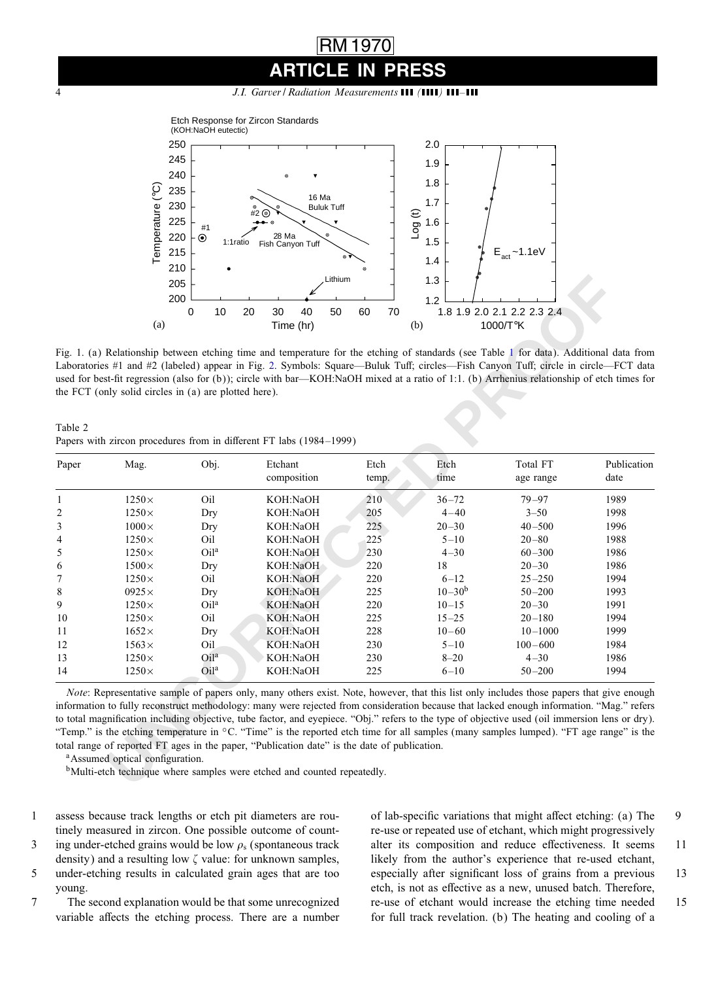## RM 1970 **PRESS**

4 *J.I. Garver / Radiation Measurements ( ) –*

<span id="page-3-0"></span>

Fig. 1. (a) Relationship between etching time and temperature for the etching of standards (see Table 1 for data). Additional data from Laboratories #1 and #2 (labeled) appear in Fig. 2. Symbols: Square—Buluk Tuff; circles—Fish Canyon Tuff; circle in circle—FCT data used for best-fit regression (also for (b)); circle with bar—KOH:NaOH mixed at a ratio of 1:1. (b) Arrhenius relationship of etch times for the FCT (onlysolid circles in (a) are plotted here).

Table 2 Papers with zircon procedures from in different FT labs (1984-1999)

|                |                                                       | 205<br>200        | Lithium                                                                                                                                                                                                                                                                                                                                                                                                                                                                                                                                                                                                                                                                                                                                                                           |          | 1.3        |                             |             |
|----------------|-------------------------------------------------------|-------------------|-----------------------------------------------------------------------------------------------------------------------------------------------------------------------------------------------------------------------------------------------------------------------------------------------------------------------------------------------------------------------------------------------------------------------------------------------------------------------------------------------------------------------------------------------------------------------------------------------------------------------------------------------------------------------------------------------------------------------------------------------------------------------------------|----------|------------|-----------------------------|-------------|
|                |                                                       | $\mathbf 0$<br>10 | 20<br>30<br>40<br>50                                                                                                                                                                                                                                                                                                                                                                                                                                                                                                                                                                                                                                                                                                                                                              | 60<br>70 | 1.2        | 1.8 1.9 2.0 2.1 2.2 2.3 2.4 |             |
|                | (a)                                                   |                   | Time (hr)                                                                                                                                                                                                                                                                                                                                                                                                                                                                                                                                                                                                                                                                                                                                                                         |          | (b)        | 1000/T°K                    |             |
|                | the FCT (only solid circles in (a) are plotted here). |                   | Fig. 1. (a) Relationship between etching time and temperature for the etching of standards (see Table 1 for data). Additional data from<br>Laboratories #1 and #2 (labeled) appear in Fig. 2. Symbols: Square—Buluk Tuff; circles—Fish Canyon Tuff; circle in circle—FCT data<br>used for best-fit regression (also for (b)); circle with bar—KOH:NaOH mixed at a ratio of 1:1. (b) Arrhenius relationship of etch times for                                                                                                                                                                                                                                                                                                                                                      |          |            |                             |             |
| Table 2        |                                                       |                   | Papers with zircon procedures from in different FT labs (1984-1999)                                                                                                                                                                                                                                                                                                                                                                                                                                                                                                                                                                                                                                                                                                               |          |            |                             |             |
| Paper          | Mag.                                                  | Obj.              | Etchant                                                                                                                                                                                                                                                                                                                                                                                                                                                                                                                                                                                                                                                                                                                                                                           | Etch     | Etch       | Total FT                    | Publication |
|                |                                                       |                   | composition                                                                                                                                                                                                                                                                                                                                                                                                                                                                                                                                                                                                                                                                                                                                                                       | temp.    | time       | age range                   | date        |
| $\mathbf{1}$   | $1250\times$                                          | Oil               | KOH:NaOH                                                                                                                                                                                                                                                                                                                                                                                                                                                                                                                                                                                                                                                                                                                                                                          | 210      | $36 - 72$  | $79 - 97$                   | 1989        |
| $\overline{c}$ | $1250\times$                                          | Dry               | KOH:NaOH                                                                                                                                                                                                                                                                                                                                                                                                                                                                                                                                                                                                                                                                                                                                                                          | 205      | $4 - 40$   | $3 - 50$                    | 1998        |
| 3              | $1000\times$                                          | Dry               | KOH:NaOH                                                                                                                                                                                                                                                                                                                                                                                                                                                                                                                                                                                                                                                                                                                                                                          | 225      | $20 - 30$  | $40 - 500$                  | 1996        |
| 4              | $1250\times$                                          | Oil               | KOH:NaOH                                                                                                                                                                                                                                                                                                                                                                                                                                                                                                                                                                                                                                                                                                                                                                          | 225      | $5 - 10$   | $20 - 80$                   | 1988        |
| 5              | $1250\times$                                          | Oil <sup>a</sup>  | KOH:NaOH                                                                                                                                                                                                                                                                                                                                                                                                                                                                                                                                                                                                                                                                                                                                                                          | 230      | $4 - 30$   | $60 - 300$                  | 1986        |
| 6              | $1500\times$                                          | Dry               | KOH:NaOH                                                                                                                                                                                                                                                                                                                                                                                                                                                                                                                                                                                                                                                                                                                                                                          | 220      | 18         | $20 - 30$                   | 1986        |
| 7              | $1250\times$                                          | Oil               | KOH:NaOH                                                                                                                                                                                                                                                                                                                                                                                                                                                                                                                                                                                                                                                                                                                                                                          | 220      | $6 - 12$   | $25 - 250$                  | 1994        |
| 8              | $0925\times$                                          | Dry               | KOH:NaOH                                                                                                                                                                                                                                                                                                                                                                                                                                                                                                                                                                                                                                                                                                                                                                          | 225      | $10 - 30b$ | $50 - 200$                  | 1993        |
| 9              | $1250\times$                                          | Oi <sup>1a</sup>  | KOH:NaOH                                                                                                                                                                                                                                                                                                                                                                                                                                                                                                                                                                                                                                                                                                                                                                          | 220      | $10 - 15$  | $20 - 30$                   | 1991        |
| 10             | $1250\times$                                          | Oil               | KOH:NaOH                                                                                                                                                                                                                                                                                                                                                                                                                                                                                                                                                                                                                                                                                                                                                                          | 225      | $15 - 25$  | $20 - 180$                  | 1994        |
| 11             | $1652\times$                                          | Dry               | KOH:NaOH                                                                                                                                                                                                                                                                                                                                                                                                                                                                                                                                                                                                                                                                                                                                                                          | 228      | $10 - 60$  | $10 - 1000$                 | 1999        |
| 12             | $1563\times$                                          | Oil               | KOH:NaOH                                                                                                                                                                                                                                                                                                                                                                                                                                                                                                                                                                                                                                                                                                                                                                          | 230      | $5 - 10$   | $100 - 600$                 | 1984        |
| 13             | $1250\times$                                          | Oila              | KOH:NaOH                                                                                                                                                                                                                                                                                                                                                                                                                                                                                                                                                                                                                                                                                                                                                                          | 230      | $8 - 20$   | $4 - 30$                    | 1986        |
| 14             | $1250\times$                                          | Oi1 <sup>a</sup>  | KOH:NaOH                                                                                                                                                                                                                                                                                                                                                                                                                                                                                                                                                                                                                                                                                                                                                                          | 225      | $6 - 10$   | $50 - 200$                  | 1994        |
|                | <sup>a</sup> Assumed optical configuration.           |                   | <i>Note:</i> Representative sample of papers only, many others exist. Note, however, that this list only includes those papers that give enough<br>information to fully reconstruct methodology: many were rejected from consideration because that lacked enough information. "Mag," refers<br>to total magnification including objective, tube factor, and eyepiece. "Obj." refers to the type of objective used (oil immersion lens or dry).<br>"Temp." is the etching temperature in °C. "Time" is the reported etch time for all samples (many samples lumped). "FT age range" is the<br>total range of reported FT ages in the paper, "Publication date" is the date of publication.<br><sup>b</sup> Multi-etch technique where samples were etched and counted repeatedly. |          |            |                             |             |

- 1 assess because track lengths or etch pit diameters are routinely measured in zircon. One possible outcome of count-
- 3 ing under-etched grains would be low  $\rho_s$  (spontaneous track
- density) and a resulting low  $\zeta$  value: for unknown samples, 5 under-etching results in calculated grain ages that are too young.
- 7 The second explanation would be that some unrecognized variable affects the etching process. There are a number

of lab-specific variations that might affect etching: (a) The 9 re-use or repeated use of etchant, which might progressively alter its composition and reduce effectiveness. It seems 11 likely from the author's experience that re-used etchant, especially after significant loss of grains from a previous 13 etch, is not as effective as a new, unused batch. Therefore, re-use of etchant would increase the etching time needed 15 for full track revelation. (b) The heating and cooling of a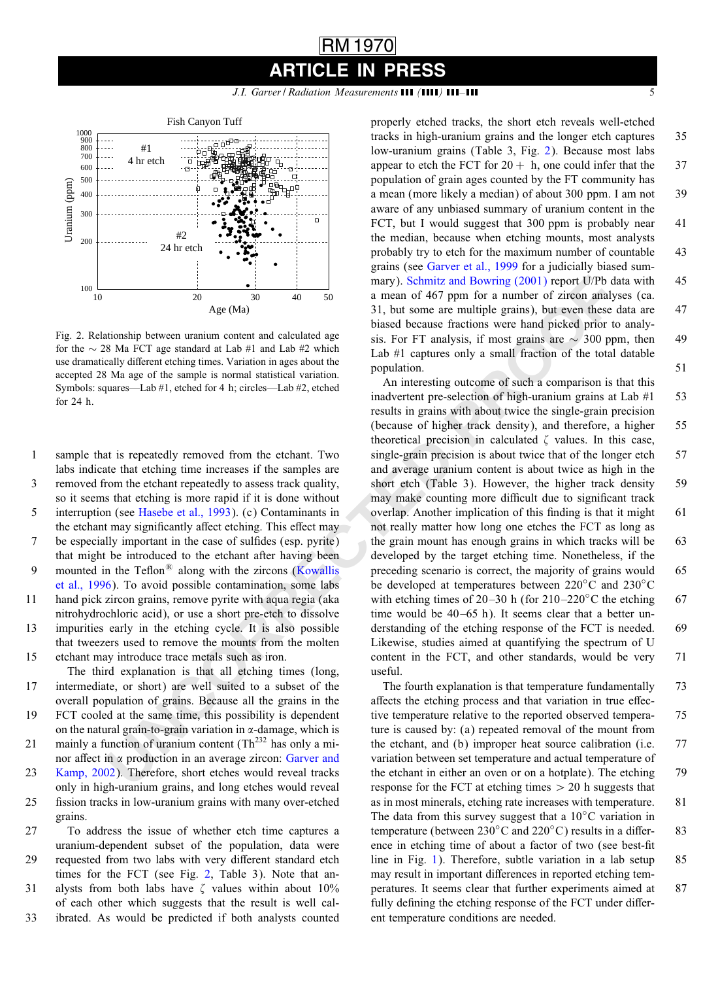*J.I. Garver | Radiation Measurements* **111 (1111) 111-111** 

<span id="page-4-0"></span>

Fig. 2. Relationship between uranium content and calculated age for the ∼ 28 Ma FCT age standard at Lab #1 and Lab #2 which use dramatically different etching times. Variation in ages about the accepted 28 Ma age of the sample is normal statistical variation. Symbols: squares—Lab #1, etched for 4 h; circles—Lab #2, etched for 24 h.

- 1 sample that is repeatedly removed from the etchant. Two labs indicate that etching time increases if the samples are
- 3 removed from the etchant repeatedly to assess track quality, so it seems that etching is more rapid if it is done without 5 interruption (see Hasebe et al., 1993). (c) Contaminants in

the etchant may significantly affect etching. This effect may 7 be especially important in the case of sulfides (esp. pyrite)

- that might be introduced to the etchant after having been 9 mounted in the Teflon $^{(8)}$  along with the zircons (Kowallis [et al., 1996\)](#page-6-0). To avoid possible contamination, some labs
- 11 hand pick zircon grains, remove pyrite with aqua regia (aka nitrohydrochloric acid), or use a short pre-etch to dissolve
- 13 impurities early in the etching cycle. It is also possible that tweezers used to remove the mounts from the molten 15 etchant mayintroduce trace metals such as iron.
- The third explanation is that all etching times (long, 17 intermediate, or short) are well suited to a subset of the overall population of grains. Because all the grains in the 19 FCT cooled at the same time, this possibility is dependent
- on the natural grain-to-grain variation in  $\alpha$ -damage, which is 21 mainly a function of uranium content  $(Th<sup>232</sup>$  has only a minor affect in  $\alpha$  production in an average zircon: Garver and
- 23 [Kamp, 2002\)](#page-6-0). Therefore, short etches would reveal tracks only in high-uranium grains, and long etches would reveal 25 fission tracks in low-uranium grains with many over-etched grains.
- 27 To address the issue of whether etch time captures a uranium-dependent subset of the population, data were 29 requested from two labs with very different standard etch times for the FCT (see Fig. 2, Table 3). Note that an-31 alysts from both labs have  $\zeta$  values within about 10% of each other which suggests that the result is well cal-

33 ibrated. As would be predicted if both analysts counted

properly etched tracks, the short etch reveals well-etched tracks in high-uranium grains and the longer etch captures 35 low-uranium grains (Table 3, Fig. 2). Because most labs appear to etch the FCT for  $20 + h$ , one could infer that the 37 population of grain ages counted by the FT community has a mean (more likelya median) of about 300 ppm. I am not 39 aware of any unbiased summary of uranium content in the FCT, but I would suggest that 300 ppm is probably near 41 the median, because when etching mounts, most analysts probably try to etch for the maximum number of countable 43 grains (see [Garver et al., 1999](#page-6-0) for a judiciallybiased summary). Schmitz and Bowring (2001) report U/Pb data with 45 a mean of 467 ppm for a number of zircon analyses (ca. 31, but some are multiple grains), but even these data are 47 biased because fractions were hand picked prior to analysis. For FT analysis, if most grains are  $\sim$  300 ppm, then 49 Lab  $#1$  captures only a small fraction of the total datable population. 51

**Example 1.1** and the search of the search of the search of the search of the search of the search of the search of the search of the search of the search of the search of the search of the search of the search of the sea An interesting outcome of such a comparison is that this inadvertent pre-selection of high-uranium grains at Lab #1 53 results in grains with about twice the single-grain precision (because of higher track density), and therefore, a higher 55 theoretical precision in calculated  $\zeta$  values. In this case, single-grain precision is about twice that of the longer etch 57 and average uranium content is about twice as high in the short etch (Table 3). However, the higher track density 59 may make counting more difficult due to significant track overlap. Another implication of this finding is that it might 61 not reallymatter how long one etches the FCT as long as the grain mount has enough grains in which tracks will be 63 developed by the target etching time. Nonetheless, if the preceding scenario is correct, the majority of grains would 65 be developed at temperatures between 220◦C and 230◦C with etching times of 20–30 h (for  $210-220\degree$ C the etching 67 time would be 40–65 h). It seems clear that a better understanding of the etching response of the FCT is needed. 69 Likewise, studies aimed at quantifying the spectrum of U content in the FCT, and other standards, would be very  $71$ useful.

The fourth explanation is that temperature fundamentally 73 affects the etching process and that variation in true effective temperature relative to the reported observed tempera- 75 ture is caused by: (a) repeated removal of the mount from the etchant, and (b) improper heat source calibration (i.e. 77 variation between set temperature and actual temperature of the etchant in either an oven or on a hotplate). The etching 79 response for the FCT at etching times  $> 20$  h suggests that as in most minerals, etching rate increases with temperature. 81 The data from this survey suggest that a  $10<sup>°</sup>C$  variation in temperature (between  $230^{\circ}$ C and  $220^{\circ}$ C) results in a differ- 83 ence in etching time of about a factor of two (see best-fit line in Fig. [1\)](#page-3-0). Therefore, subtle variation in a lab setup 85 may result in important differences in reported etching temperatures. It seems clear that further experiments aimed at 87 fully defining the etching response of the FCT under different temperature conditions are needed.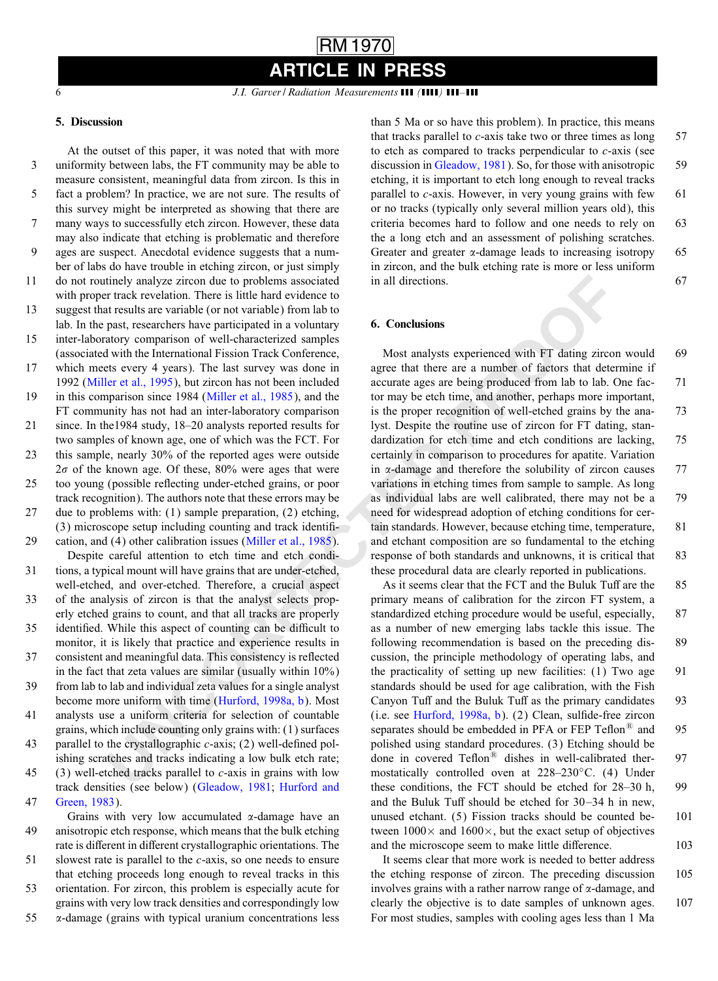*J.I. Garver | Radiation Measurements* **[1]** *(1111)* **111-111** 

### 5. Discussion

Trincipy analyze zircon due o problems associated<br>
in all directions.<br>
In track revelation, There is little hard evidence to<br>
it reads new complete the content of the content of the set interest and the state of the state At the outset of this paper, it was noted that with more 3 uniformity between labs, the FT community may be able to measure consistent, meaningful data from zircon. Is this in 5 fact a problem? In practice, we are not sure. The results of this survey might be interpreted as showing that there are 7 manyways to successfullyetch zircon. However, these data mayalso indicate that etching is problematic and therefore 9 ages are suspect. Anecdotal evidence suggests that a number of labs do have trouble in etching zircon, or just simply 11 do not routinely analyze zircon due to problems associated with proper track revelation. There is little hard evidence to 13 suggest that results are variable (or not variable) from lab to lab. In the past, researchers have participated in a voluntary 15 inter-laboratorycomparison of well-characterized samples (associated with the International Fission Track Conference, 17 which meets every 4 years). The last survey was done in 1992 [\(Miller et al., 1995\)](#page-6-0), but zircon has not been included 19 in this comparison since 1984 (Miller et al., 1985), and the FT community has not had an inter-laboratory comparison 21 since. In the1984 study, 18–20 analysts reported results for two samples of known age, one of which was the FCT. For 23 this sample, nearly 30% of the reported ages were outside  $2\sigma$  of the known age. Of these, 80% were ages that were 25 too young (possible reflecting under-etched grains, or poor track recognition). The authors note that these errors maybe 27 due to problems with: (1) sample preparation, (2) etching, (3) microscope setup including counting and track identifi-29 cation, and (4) other calibration issues (Miller et al., 1985). Despite careful attention to etch time and etch condi-31 tions, a typical mount will have grains that are under-etched, well-etched, and over-etched. Therefore, a crucial aspect 33 of the analysis of zircon is that the analyst selects properlyetched grains to count, and that all tracks are properly 35 identified. While this aspect of counting can be difficult to monitor, it is likely that practice and experience results in 37 consistent and meaningful data. This consistency is reflected in the fact that zeta values are similar (usually within  $10\%$ ) 39 from lab to lab and individual zeta values for a single analyst become more uniform with time (Hurford, 1998a, b). Most 41 analysts use a uniform criteria for selection of countable grains, which include counting onlygrains with: (1) surfaces 43 parallel to the crystallographic  $c$ -axis; (2) well-defined polishing scratches and tracks indicating a low bulk etch rate; 45 (3) well-etched tracks parallel to  $c$ -axis in grains with low track densities (see below) [\(Gleadow, 1981;](#page-6-0) [Hurford and](#page-6-0) 47 [Green, 1983\)](#page-6-0).

Grains with very low accumulated  $\alpha$ -damage have an 49 anisotropic etch response, which means that the bulk etching rate is different in different crystallographic orientations. The 51 slowest rate is parallel to the c-axis, so one needs to ensure that etching proceeds long enough to reveal tracks in this 53 orientation. For zircon, this problem is especiallyacute for grains with verylow track densities and correspondinglylow

55 -damage (grains with typical uranium concentrations less than 5 Ma or so have this problem). In practice, this means that tracks parallel to  $c$ -axis take two or three times as long  $57$ to etch as compared to tracks perpendicular to  $c$ -axis (see discussion in [Gleadow, 1981\)](#page-6-0). So, for those with anisotropic 59 etching, it is important to etch long enough to reveal tracks parallel to  $c$ -axis. However, in very young grains with few  $61$ or no tracks (typically only several million years old), this criteria becomes hard to follow and one needs to rely on 63 the a long etch and an assessment of polishing scratches. Greater and greater  $\alpha$ -damage leads to increasing isotropy 65 in zircon, and the bulk etching rate is more or less uniform in all directions. 67

#### 6. Conclusions

Most analysts experienced with FT dating zircon would 69 agree that there are a number of factors that determine if accurate ages are being produced from lab to lab. One fac- 71 tor maybe etch time, and another, perhaps more important, is the proper recognition of well-etched grains by the ana- 73 lyst. Despite the routine use of zircon for FT dating, standardization for etch time and etch conditions are lacking, 75 certainly in comparison to procedures for apatite. Variation in  $\alpha$ -damage and therefore the solubility of zircon causes  $77$ variations in etching times from sample to sample. As long as individual labs are well calibrated, there maynot be a 79 need for widespread adoption of etching conditions for certain standards. However, because etching time, temperature, 81 and etchant composition are so fundamental to the etching response of both standards and unknowns, it is critical that 83 these procedural data are clearly reported in publications.

As it seems clear that the FCT and the Buluk Tuff are the 85 primary means of calibration for the zircon FT system, a standardized etching procedure would be useful, especially, 87 as a number of new emerging labs tackle this issue. The following recommendation is based on the preceding dis- 89 cussion, the principle methodologyof operating labs, and the practicality of setting up new facilities:  $(1)$  Two age 91 standards should be used for age calibration, with the Fish Canyon Tuff and the Buluk Tuff as the primary candidates 93 (i.e. see Hurford, 1998a, b). (2) Clean, sulfide-free zircon separates should be embedded in PFA or FEP Teflon $\degree$  and 95 polished using standard procedures. (3) Etching should be done in covered  $Teflon^@$  dishes in well-calibrated ther- 97 mostatically controlled oven at  $228-230°C$ . (4) Under these conditions, the FCT should be etched for 28–30 h, 99 and the Buluk Tuff should be etched for  $30-34$  h in new, unused etchant. (5) Fission tracks should be counted be- 101 tween  $1000 \times$  and  $1600 \times$ , but the exact setup of objectives and the microscope seem to make little difference. 103

It seems clear that more work is needed to better address the etching response of zircon. The preceding discussion 105 involves grains with a rather narrow range of  $\alpha$ -damage, and clearly the objective is to date samples of unknown ages. 107 For most studies, samples with cooling ages less than 1 Ma